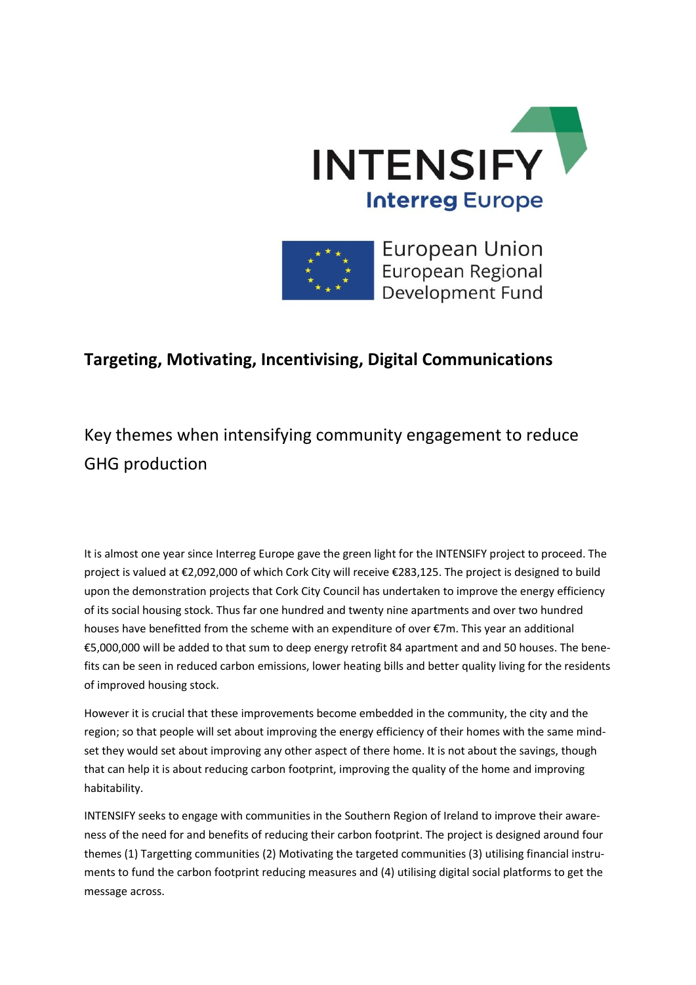



**European Union** European Regional Development Fund

## **Targeting, Motivating, Incentivising, Digital Communications**

Key themes when intensifying community engagement to reduce GHG production

It is almost one year since Interreg Europe gave the green light for the INTENSIFY project to proceed. The project is valued at €2,092,000 of which Cork City will receive €283,125. The project is designed to build upon the demonstration projects that Cork City Council has undertaken to improve the energy efficiency of its social housing stock. Thus far one hundred and twenty nine apartments and over two hundred houses have benefitted from the scheme with an expenditure of over €7m. This year an additional €5,000,000 will be added to that sum to deep energy retrofit 84 apartment and and 50 houses. The benefits can be seen in reduced carbon emissions, lower heating bills and better quality living for the residents of improved housing stock.

However it is crucial that these improvements become embedded in the community, the city and the region; so that people will set about improving the energy efficiency of their homes with the same mindset they would set about improving any other aspect of there home. It is not about the savings, though that can help it is about reducing carbon footprint, improving the quality of the home and improving habitability.

INTENSIFY seeks to engage with communities in the Southern Region of Ireland to improve their awareness of the need for and benefits of reducing their carbon footprint. The project is designed around four themes (1) Targetting communities (2) Motivating the targeted communities (3) utilising financial instruments to fund the carbon footprint reducing measures and (4) utilising digital social platforms to get the message across.